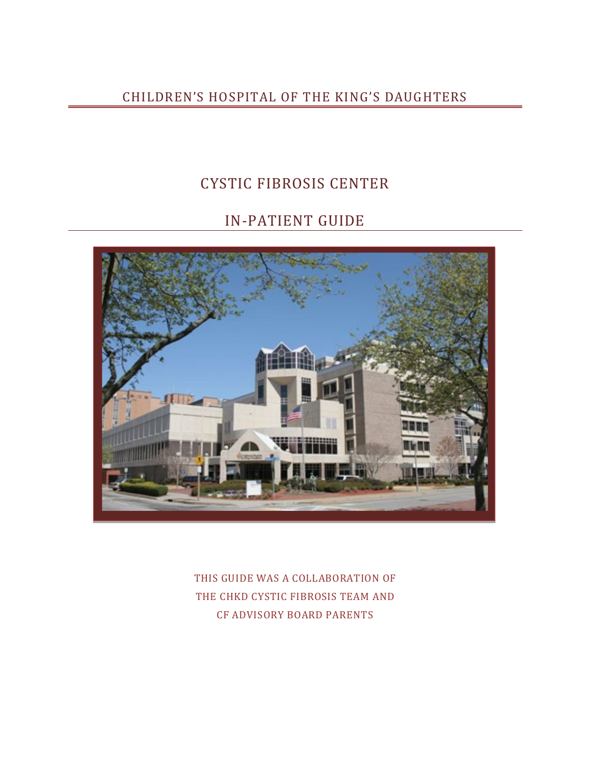## CHILDREN'S HOSPITAL OF THE KING'S DAUGHTERS

## CYSTIC FIBROSIS CENTER

# IN-PATIENT GUIDE



THIS GUIDE WAS A COLLABORATION OF THE CHKD CYSTIC FIBROSIS TEAM AND CF ADVISORY BOARD PARENTS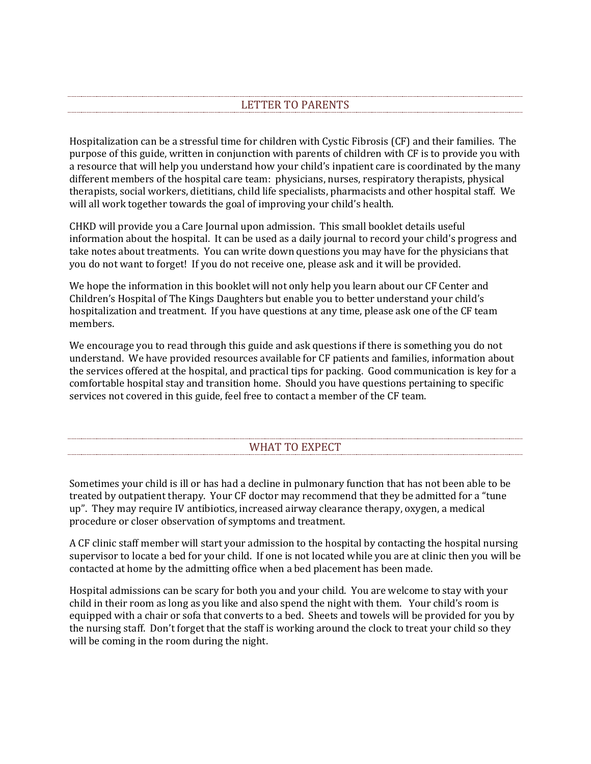## LETTER TO PARENTS

Hospitalization can be a stressful time for children with Cystic Fibrosis (CF) and their families. The purpose of this guide, written in conjunction with parents of children with CF is to provide you with a resource that will help you understand how your child's inpatient care is coordinated by the many different members of the hospital care team: physicians, nurses, respiratory therapists, physical therapists, social workers, dietitians, child life specialists, pharmacists and other hospital staff. We will all work together towards the goal of improving your child's health.

CHKD will provide you a Care Journal upon admission. This small booklet details useful information about the hospital. It can be used as a daily journal to record your child's progress and take notes about treatments. You can write down questions you may have for the physicians that you do not want to forget! If you do not receive one, please ask and it will be provided.

We hope the information in this booklet will not only help you learn about our CF Center and Children's Hospital of The Kings Daughters but enable you to better understand your child's hospitalization and treatment. If you have questions at any time, please ask one of the CF team members.

We encourage you to read through this guide and ask questions if there is something you do not understand. We have provided resources available for CF patients and families, information about the services offered at the hospital, and practical tips for packing. Good communication is key for a comfortable hospital stay and transition home. Should you have questions pertaining to specific services not covered in this guide, feel free to contact a member of the CF team.

## WHAT TO EXPECT

Sometimes your child is ill or has had a decline in pulmonary function that has not been able to be treated by outpatient therapy. Your CF doctor may recommend that they be admitted for a "tune up". They may require IV antibiotics, increased airway clearance therapy, oxygen, a medical procedure or closer observation of symptoms and treatment.

A CF clinic staff member will start your admission to the hospital by contacting the hospital nursing supervisor to locate a bed for your child. If one is not located while you are at clinic then you will be contacted at home by the admitting office when a bed placement has been made.

Hospital admissions can be scary for both you and your child. You are welcome to stay with your child in their room as long as you like and also spend the night with them. Your child's room is equipped with a chair or sofa that converts to a bed. Sheets and towels will be provided for you by the nursing staff. Don't forget that the staff is working around the clock to treat your child so they will be coming in the room during the night.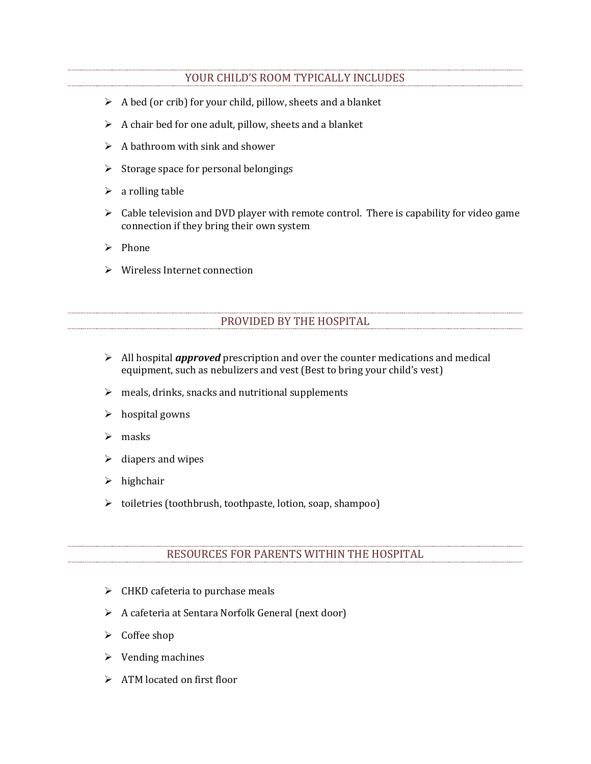### YOUR CHILD'S ROOM TYPICALLY INCLUDES

- $\triangleright$  A bed (or crib) for your child, pillow, sheets and a blanket
- $\triangleright$  A chair bed for one adult, pillow, sheets and a blanket
- $\triangleright$  A bathroom with sink and shower
- $\triangleright$  Storage space for personal belongings
- $\triangleright$  a rolling table
- $\triangleright$  Cable television and DVD player with remote control. There is capability for video game connection if they bring their own system
- $\triangleright$  Phone
- Wireless Internet connection

## PROVIDED BY THE HOSPITAL

- All hospital *approved* prescription and over the counter medications and medical equipment, such as nebulizers and vest (Best to bring your child's vest)
- $\triangleright$  meals, drinks, snacks and nutritional supplements
- $\triangleright$  hospital gowns
- $>$  masks
- $\triangleright$  diapers and wipes
- $\triangleright$  highchair
- toiletries (toothbrush, toothpaste, lotion, soap, shampoo)

#### RESOURCES FOR PARENTS WITHIN THE HOSPITAL

- $\triangleright$  CHKD cafeteria to purchase meals
- A cafeteria at Sentara Norfolk General (next door)
- $\triangleright$  Coffee shop
- $\triangleright$  Vending machines
- > ATM located on first floor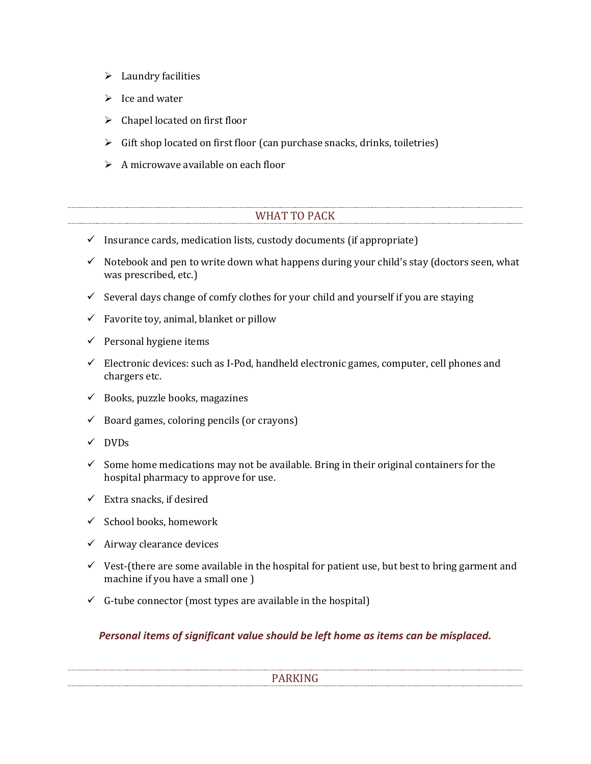- $\blacktriangleright$  Laundry facilities
- $\triangleright$  Ice and water
- $\triangleright$  Chapel located on first floor
- $\triangleright$  Gift shop located on first floor (can purchase snacks, drinks, toiletries)
- $\triangleright$  A microwave available on each floor

## WHAT TO PACK

- $\checkmark$  Insurance cards, medication lists, custody documents (if appropriate)
- $\checkmark$  Notebook and pen to write down what happens during your child's stay (doctors seen, what was prescribed, etc.)
- $\checkmark$  Several days change of comfy clothes for your child and yourself if you are staying
- $\checkmark$  Favorite toy, animal, blanket or pillow
- $\checkmark$  Personal hygiene items
- $\checkmark$  Electronic devices: such as I-Pod, handheld electronic games, computer, cell phones and chargers etc.
- $\checkmark$  Books, puzzle books, magazines
- $\checkmark$  Board games, coloring pencils (or crayons)
- $\checkmark$  DVDs
- $\checkmark$  Some home medications may not be available. Bring in their original containers for the hospital pharmacy to approve for use.
- $\checkmark$  Extra snacks, if desired
- $\checkmark$  School books, homework
- $\checkmark$  Airway clearance devices
- $\checkmark$  Vest-(there are some available in the hospital for patient use, but best to bring garment and machine if you have a small one )
- $\checkmark$  G-tube connector (most types are available in the hospital)

## *Personal items of significant value should be left home as items can be misplaced.*

#### PARKING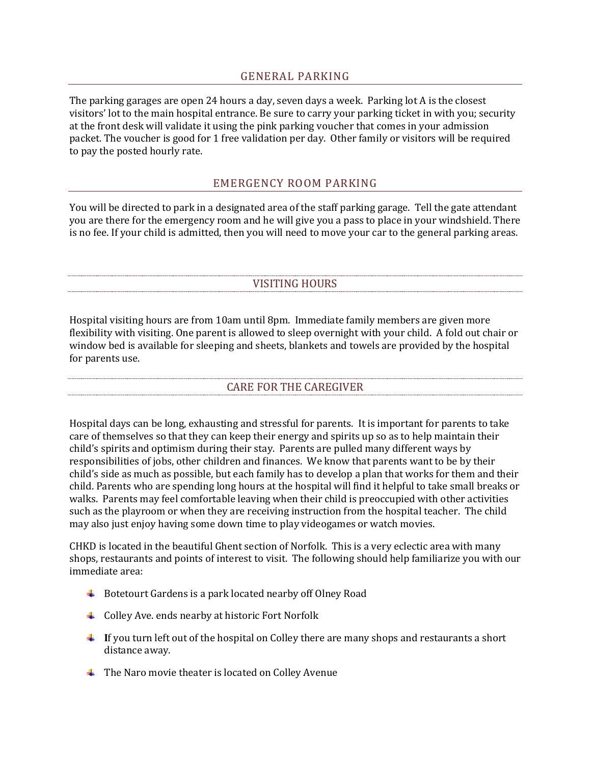#### GENERAL PARKING

The parking garages are open 24 hours a day, seven days a week. Parking lot A is the closest visitors' lot to the main hospital entrance. Be sure to carry your parking ticket in with you; security at the front desk will validate it using the pink parking voucher that comes in your admission packet. The voucher is good for 1 free validation per day. Other family or visitors will be required to pay the posted hourly rate.

## EMERGENCY ROOM PARKING

You will be directed to park in a designated area of the staff parking garage. Tell the gate attendant you are there for the emergency room and he will give you a pass to place in your windshield. There is no fee. If your child is admitted, then you will need to move your car to the general parking areas.

#### VISITING HOURS

Hospital visiting hours are from 10am until 8pm. Immediate family members are given more flexibility with visiting. One parent is allowed to sleep overnight with your child. A fold out chair or window bed is available for sleeping and sheets, blankets and towels are provided by the hospital for parents use.

#### CARE FOR THE CAREGIVER

Hospital days can be long, exhausting and stressful for parents. It is important for parents to take care of themselves so that they can keep their energy and spirits up so as to help maintain their child's spirits and optimism during their stay. Parents are pulled many different ways by responsibilities of jobs, other children and finances. We know that parents want to be by their child's side as much as possible, but each family has to develop a plan that works for them and their child. Parents who are spending long hours at the hospital will find it helpful to take small breaks or walks. Parents may feel comfortable leaving when their child is preoccupied with other activities such as the playroom or when they are receiving instruction from the hospital teacher. The child may also just enjoy having some down time to play videogames or watch movies.

CHKD is located in the beautiful Ghent section of Norfolk. This is a very eclectic area with many shops, restaurants and points of interest to visit. The following should help familiarize you with our immediate area:

- $\ddot{\phantom{1}}$  Botetourt Gardens is a park located nearby off Olney Road
- $\overline{\phantom{a}}$  Colley Ave. ends nearby at historic Fort Norfolk
- **I**f you turn left out of the hospital on Colley there are many shops and restaurants a short distance away.
- $\ddot{\bullet}$  The Naro movie theater is located on Colley Avenue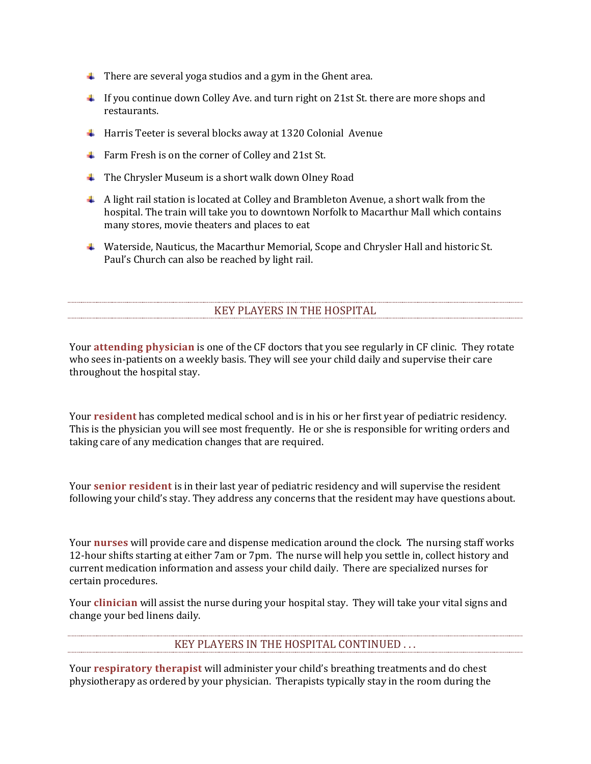- $\ddot{\phantom{1}}$  There are several yoga studios and a gym in the Ghent area.
- $\ddot{\phantom{1}}$  If you continue down Colley Ave. and turn right on 21st St. there are more shops and restaurants.
- $\overline{+}$  Harris Teeter is several blocks away at 1320 Colonial Avenue
- Farm Fresh is on the corner of Colley and 21st St.
- $\ddot{\bullet}$  The Chrysler Museum is a short walk down Olney Road
- A light rail station is located at Colley and Brambleton Avenue, a short walk from the hospital. The train will take you to downtown Norfolk to Macarthur Mall which contains many stores, movie theaters and places to eat
- Waterside, Nauticus, the Macarthur Memorial, Scope and Chrysler Hall and historic St. Paul's Church can also be reached by light rail.

## KEY PLAYERS IN THE HOSPITAL

Your **attending physician** is one of the CF doctors that you see regularly in CF clinic. They rotate who sees in-patients on a weekly basis. They will see your child daily and supervise their care throughout the hospital stay.

Your **resident** has completed medical school and is in his or her first year of pediatric residency. This is the physician you will see most frequently. He or she is responsible for writing orders and taking care of any medication changes that are required.

Your **senior resident** is in their last year of pediatric residency and will supervise the resident following your child's stay. They address any concerns that the resident may have questions about.

Your **nurses** will provide care and dispense medication around the clock. The nursing staff works 12-hour shifts starting at either 7am or 7pm. The nurse will help you settle in, collect history and current medication information and assess your child daily. There are specialized nurses for certain procedures.

Your **clinician** will assist the nurse during your hospital stay. They will take your vital signs and change your bed linens daily.

#### KEY PLAYERS IN THE HOSPITAL CONTINUED . . .

Your **respiratory therapist** will administer your child's breathing treatments and do chest physiotherapy as ordered by your physician. Therapists typically stay in the room during the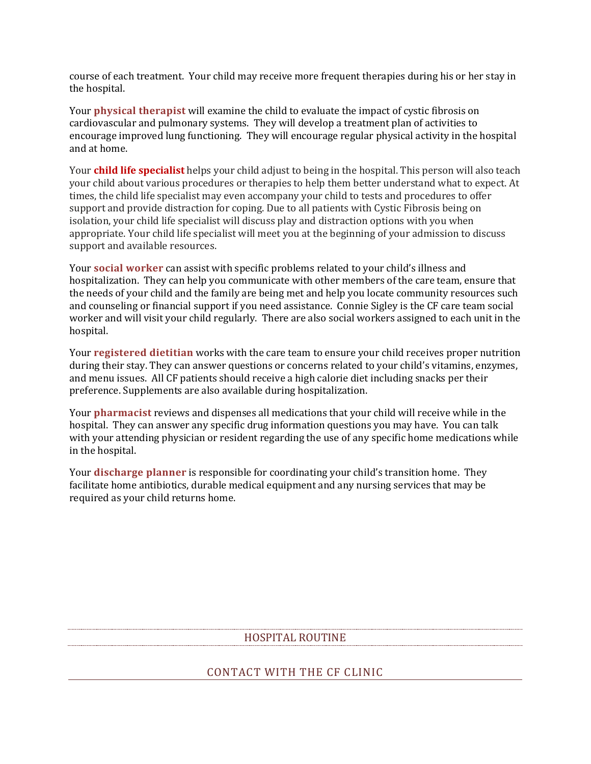course of each treatment. Your child may receive more frequent therapies during his or her stay in the hospital.

Your **physical therapist** will examine the child to evaluate the impact of cystic fibrosis on cardiovascular and pulmonary systems. They will develop a treatment plan of activities to encourage improved lung functioning. They will encourage regular physical activity in the hospital and at home.

Your **child life specialist** helps your child adjust to being in the hospital. This person will also teach your child about various procedures or therapies to help them better understand what to expect. At times, the child life specialist may even accompany your child to tests and procedures to offer support and provide distraction for coping. Due to all patients with Cystic Fibrosis being on isolation, your child life specialist will discuss play and distraction options with you when appropriate. Your child life specialist will meet you at the beginning of your admission to discuss support and available resources.

Your **social worker** can assist with specific problems related to your child's illness and hospitalization. They can help you communicate with other members of the care team, ensure that the needs of your child and the family are being met and help you locate community resources such and counseling or financial support if you need assistance. Connie Sigley is the CF care team social worker and will visit your child regularly. There are also social workers assigned to each unit in the hospital.

Your **registered dietitian** works with the care team to ensure your child receives proper nutrition during their stay. They can answer questions or concerns related to your child's vitamins, enzymes, and menu issues. All CF patients should receive a high calorie diet including snacks per their preference. Supplements are also available during hospitalization.

Your **pharmacist** reviews and dispenses all medications that your child will receive while in the hospital. They can answer any specific drug information questions you may have. You can talk with your attending physician or resident regarding the use of any specific home medications while in the hospital.

Your **discharge planner** is responsible for coordinating your child's transition home. They facilitate home antibiotics, durable medical equipment and any nursing services that may be required as your child returns home.

#### HOSPITAL ROUTINE

#### CONTACT WITH THE CF CLINIC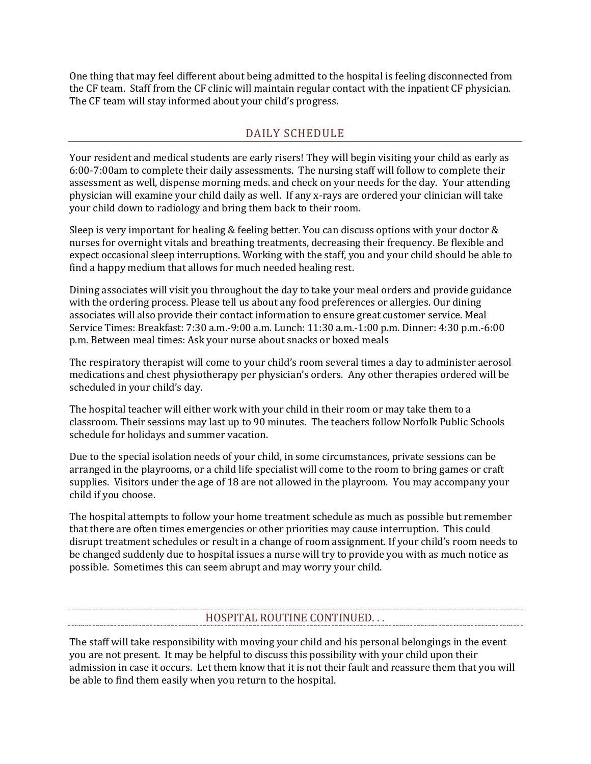One thing that may feel different about being admitted to the hospital is feeling disconnected from the CF team. Staff from the CF clinic will maintain regular contact with the inpatient CF physician. The CF team will stay informed about your child's progress.

## DAILY SCHEDULE

Your resident and medical students are early risers! They will begin visiting your child as early as 6:00-7:00am to complete their daily assessments. The nursing staff will follow to complete their assessment as well, dispense morning meds. and check on your needs for the day. Your attending physician will examine your child daily as well. If any x-rays are ordered your clinician will take your child down to radiology and bring them back to their room.

Sleep is very important for healing & feeling better. You can discuss options with your doctor & nurses for overnight vitals and breathing treatments, decreasing their frequency. Be flexible and expect occasional sleep interruptions. Working with the staff, you and your child should be able to find a happy medium that allows for much needed healing rest.

Dining associates will visit you throughout the day to take your meal orders and provide guidance with the ordering process. Please tell us about any food preferences or allergies. Our dining associates will also provide their contact information to ensure great customer service. Meal Service Times: Breakfast: 7:30 a.m.-9:00 a.m. Lunch: 11:30 a.m.-1:00 p.m. Dinner: 4:30 p.m.-6:00 p.m. Between meal times: Ask your nurse about snacks or boxed meals

The respiratory therapist will come to your child's room several times a day to administer aerosol medications and chest physiotherapy per physician's orders. Any other therapies ordered will be scheduled in your child's day.

The hospital teacher will either work with your child in their room or may take them to a classroom. Their sessions may last up to 90 minutes. The teachers follow Norfolk Public Schools schedule for holidays and summer vacation.

Due to the special isolation needs of your child, in some circumstances, private sessions can be arranged in the playrooms, or a child life specialist will come to the room to bring games or craft supplies. Visitors under the age of 18 are not allowed in the playroom. You may accompany your child if you choose.

The hospital attempts to follow your home treatment schedule as much as possible but remember that there are often times emergencies or other priorities may cause interruption. This could disrupt treatment schedules or result in a change of room assignment. If your child's room needs to be changed suddenly due to hospital issues a nurse will try to provide you with as much notice as possible. Sometimes this can seem abrupt and may worry your child.

## HOSPITAL ROUTINE CONTINUED. . .

The staff will take responsibility with moving your child and his personal belongings in the event you are not present. It may be helpful to discuss this possibility with your child upon their admission in case it occurs. Let them know that it is not their fault and reassure them that you will be able to find them easily when you return to the hospital.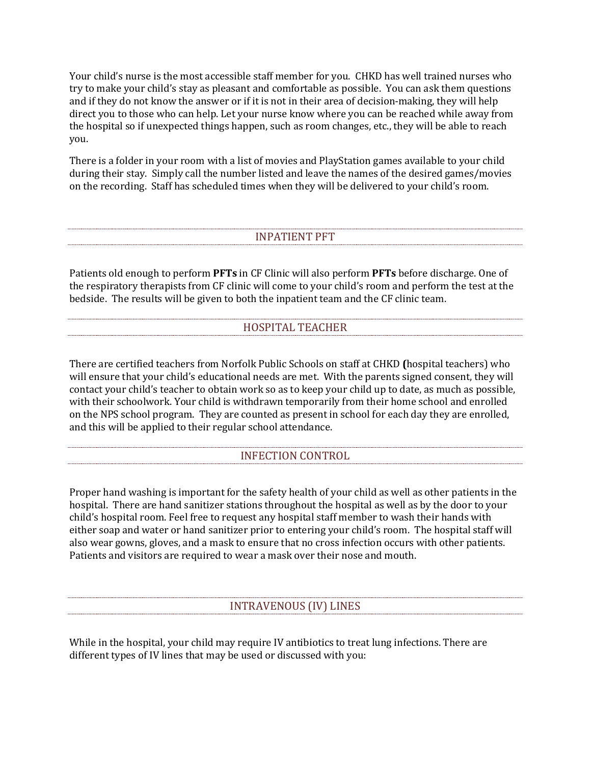Your child's nurse is the most accessible staff member for you. CHKD has well trained nurses who try to make your child's stay as pleasant and comfortable as possible. You can ask them questions and if they do not know the answer or if it is not in their area of decision-making, they will help direct you to those who can help. Let your nurse know where you can be reached while away from the hospital so if unexpected things happen, such as room changes, etc., they will be able to reach you.

There is a folder in your room with a list of movies and PlayStation games available to your child during their stay. Simply call the number listed and leave the names of the desired games/movies on the recording. Staff has scheduled times when they will be delivered to your child's room.

## INPATIENT PFT

Patients old enough to perform **PFTs** in CF Clinic will also perform **PFTs** before discharge. One of the respiratory therapists from CF clinic will come to your child's room and perform the test at the bedside. The results will be given to both the inpatient team and the CF clinic team.

## HOSPITAL TEACHER

There are certified teachers from Norfolk Public Schools on staff at CHKD **(**hospital teachers) who will ensure that your child's educational needs are met. With the parents signed consent, they will contact your child's teacher to obtain work so as to keep your child up to date, as much as possible, with their schoolwork. Your child is withdrawn temporarily from their home school and enrolled on the NPS school program. They are counted as present in school for each day they are enrolled, and this will be applied to their regular school attendance.

## INFECTION CONTROL

Proper hand washing is important for the safety health of your child as well as other patients in the hospital. There are hand sanitizer stations throughout the hospital as well as by the door to your child's hospital room. Feel free to request any hospital staff member to wash their hands with either soap and water or hand sanitizer prior to entering your child's room. The hospital staff will also wear gowns, gloves, and a mask to ensure that no cross infection occurs with other patients. Patients and visitors are required to wear a mask over their nose and mouth.

#### INTRAVENOUS (IV) LINES

While in the hospital, your child may require IV antibiotics to treat lung infections. There are different types of IV lines that may be used or discussed with you: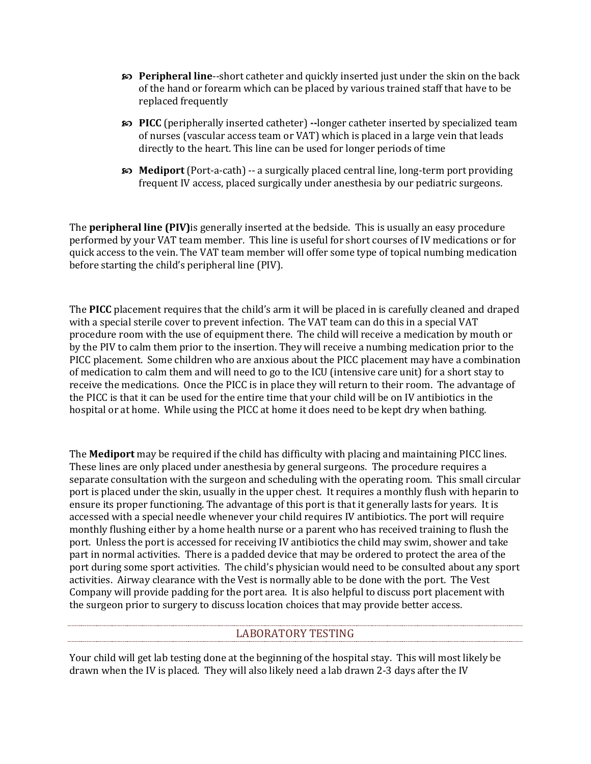- **Peripheral line**--short catheter and quickly inserted just under the skin on the back of the hand or forearm which can be placed by various trained staff that have to be replaced frequently
- **PICC** (peripherally inserted catheter) **--**longer catheter inserted by specialized team of nurses (vascular access team or VAT) which is placed in a large vein that leads directly to the heart. This line can be used for longer periods of time
- **EXECUTE:** Mediport (Port-a-cath) -- a surgically placed central line, long-term port providing frequent IV access, placed surgically under anesthesia by our pediatric surgeons.

The **peripheral line (PIV)**is generally inserted at the bedside. This is usually an easy procedure performed by your VAT team member. This line is useful for short courses of IV medications or for quick access to the vein. The VAT team member will offer some type of topical numbing medication before starting the child's peripheral line (PIV).

The **PICC** placement requires that the child's arm it will be placed in is carefully cleaned and draped with a special sterile cover to prevent infection. The VAT team can do this in a special VAT procedure room with the use of equipment there. The child will receive a medication by mouth or by the PIV to calm them prior to the insertion. They will receive a numbing medication prior to the PICC placement. Some children who are anxious about the PICC placement may have a combination of medication to calm them and will need to go to the ICU (intensive care unit) for a short stay to receive the medications. Once the PICC is in place they will return to their room. The advantage of the PICC is that it can be used for the entire time that your child will be on IV antibiotics in the hospital or at home. While using the PICC at home it does need to be kept dry when bathing.

The **Mediport** may be required if the child has difficulty with placing and maintaining PICC lines. These lines are only placed under anesthesia by general surgeons. The procedure requires a separate consultation with the surgeon and scheduling with the operating room. This small circular port is placed under the skin, usually in the upper chest. It requires a monthly flush with heparin to ensure its proper functioning. The advantage of this port is that it generally lasts for years. It is accessed with a special needle whenever your child requires IV antibiotics. The port will require monthly flushing either by a home health nurse or a parent who has received training to flush the port. Unless the port is accessed for receiving IV antibiotics the child may swim, shower and take part in normal activities. There is a padded device that may be ordered to protect the area of the port during some sport activities. The child's physician would need to be consulted about any sport activities. Airway clearance with the Vest is normally able to be done with the port. The Vest Company will provide padding for the port area. It is also helpful to discuss port placement with the surgeon prior to surgery to discuss location choices that may provide better access.

## LABORATORY TESTING

Your child will get lab testing done at the beginning of the hospital stay. This will most likely be drawn when the IV is placed. They will also likely need a lab drawn 2-3 days after the IV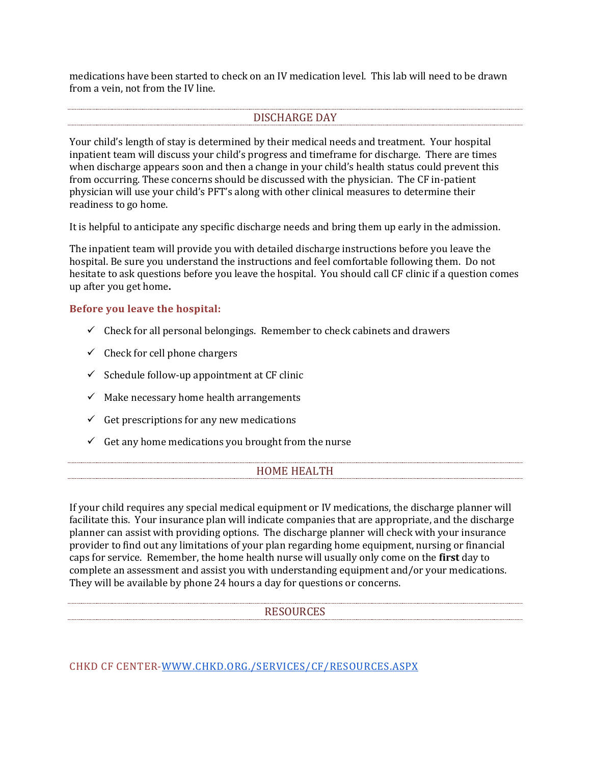medications have been started to check on an IV medication level. This lab will need to be drawn from a vein, not from the IV line.

## DISCHARGE DAY

Your child's length of stay is determined by their medical needs and treatment. Your hospital inpatient team will discuss your child's progress and timeframe for discharge. There are times when discharge appears soon and then a change in your child's health status could prevent this from occurring. These concerns should be discussed with the physician. The CF in-patient physician will use your child's PFT's along with other clinical measures to determine their readiness to go home.

It is helpful to anticipate any specific discharge needs and bring them up early in the admission.

The inpatient team will provide you with detailed discharge instructions before you leave the hospital. Be sure you understand the instructions and feel comfortable following them. Do not hesitate to ask questions before you leave the hospital. You should call CF clinic if a question comes up after you get home**.** 

#### **Before you leave the hospital:**

- $\checkmark$  Check for all personal belongings. Remember to check cabinets and drawers
- $\checkmark$  Check for cell phone chargers
- $\checkmark$  Schedule follow-up appointment at CF clinic
- $\checkmark$  Make necessary home health arrangements
- $\checkmark$  Get prescriptions for any new medications
- $\checkmark$  Get any home medications you brought from the nurse

#### HOME HEALTH

If your child requires any special medical equipment or IV medications, the discharge planner will facilitate this. Your insurance plan will indicate companies that are appropriate, and the discharge planner can assist with providing options. The discharge planner will check with your insurance provider to find out any limitations of your plan regarding home equipment, nursing or financial caps for service. Remember, the home health nurse will usually only come on the **first** day to complete an assessment and assist you with understanding equipment and/or your medications. They will be available by phone 24 hours a day for questions or concerns.

#### RESOURCES

CHKD CF CENTER[-WWW.CHKD.ORG./SERVICES/CF/RESOURCES.ASPX](http://www.chkd.org./Services/CF/Resources.aspx)